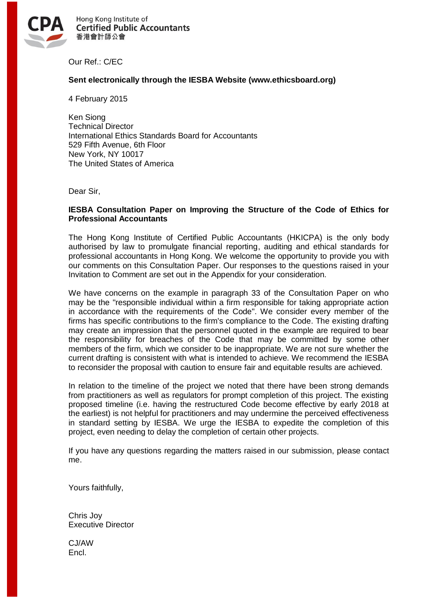

Hong Kong Institute of **Certified Public Accountants** 香港會計師公會

Our Ref.: C/EC

### **Sent electronically through the IESBA Website (www.ethicsboard.org)**

4 February 2015

Ken Siong Technical Director International Ethics Standards Board for Accountants 529 Fifth Avenue, 6th Floor New York, NY 10017 The United States of America

Dear Sir,

### **IESBA Consultation Paper on Improving the Structure of the Code of Ethics for Professional Accountants**

The Hong Kong Institute of Certified Public Accountants (HKICPA) is the only body authorised by law to promulgate financial reporting, auditing and ethical standards for professional accountants in Hong Kong. We welcome the opportunity to provide you with our comments on this Consultation Paper. Our responses to the questions raised in your Invitation to Comment are set out in the Appendix for your consideration.

We have concerns on the example in paragraph 33 of the Consultation Paper on who may be the "responsible individual within a firm responsible for taking appropriate action in accordance with the requirements of the Code". We consider every member of the firms has specific contributions to the firm's compliance to the Code. The existing drafting may create an impression that the personnel quoted in the example are required to bear the responsibility for breaches of the Code that may be committed by some other members of the firm, which we consider to be inappropriate. We are not sure whether the current drafting is consistent with what is intended to achieve. We recommend the IESBA to reconsider the proposal with caution to ensure fair and equitable results are achieved.

In relation to the timeline of the project we noted that there have been strong demands from practitioners as well as regulators for prompt completion of this project. The existing proposed timeline (i.e. having the restructured Code become effective by early 2018 at the earliest) is not helpful for practitioners and may undermine the perceived effectiveness in standard setting by IESBA. We urge the IESBA to expedite the completion of this project, even needing to delay the completion of certain other projects.

If you have any questions regarding the matters raised in our submission, please contact me.

Yours faithfully,

Chris Joy Executive Director

CJ/AW Encl.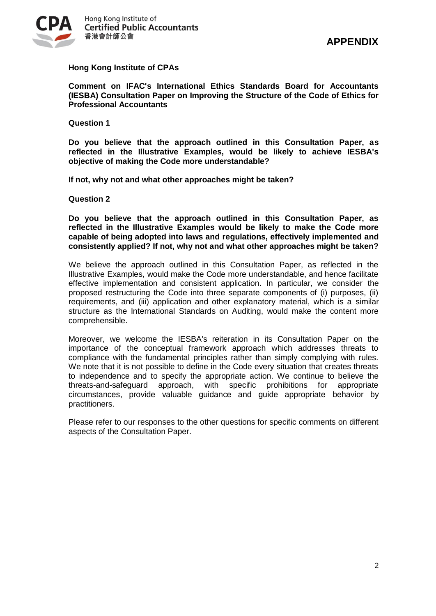

# **Hong Kong Institute of CPAs**

**[Comment on IFAC's International Ethics Standards Board for Accountants](http://www.hkicpa.org.hk/file/media/section6_standards/standards/FinancialReporting/ed-pdf-2012/i2c_improv1113.pdf)  [\(IESBA\) Consultation Paper on Improving the Structure of the](http://www.hkicpa.org.hk/file/media/section6_standards/standards/FinancialReporting/ed-pdf-2012/i2c_improv1113.pdf) Code of Ethics for [Professional Accountants](http://www.hkicpa.org.hk/file/media/section6_standards/standards/FinancialReporting/ed-pdf-2012/i2c_improv1113.pdf)**

**Question 1**

**Do you believe that the approach outlined in this Consultation Paper, as reflected in the Illustrative Examples, would be likely to achieve IESBA's objective of making the Code more understandable?**

**If not, why not and what other approaches might be taken?**

**Question 2**

**Do you believe that the approach outlined in this Consultation Paper, as reflected in the Illustrative Examples would be likely to make the Code more capable of being adopted into laws and regulations, effectively implemented and consistently applied? If not, why not and what other approaches might be taken?**

We believe the approach outlined in this Consultation Paper, as reflected in the Illustrative Examples, would make the Code more understandable, and hence facilitate effective implementation and consistent application. In particular, we consider the proposed restructuring the Code into three separate components of (i) purposes, (ii) requirements, and (iii) application and other explanatory material, which is a similar structure as the International Standards on Auditing, would make the content more comprehensible.

Moreover, we welcome the IESBA's reiteration in its Consultation Paper on the importance of the conceptual framework approach which addresses threats to compliance with the fundamental principles rather than simply complying with rules. We note that it is not possible to define in the Code every situation that creates threats to independence and to specify the appropriate action. We continue to believe the threats-and-safeguard approach, with specific prohibitions for appropriate circumstances, provide valuable guidance and guide appropriate behavior by practitioners.

Please refer to our responses to the other questions for specific comments on different aspects of the Consultation Paper.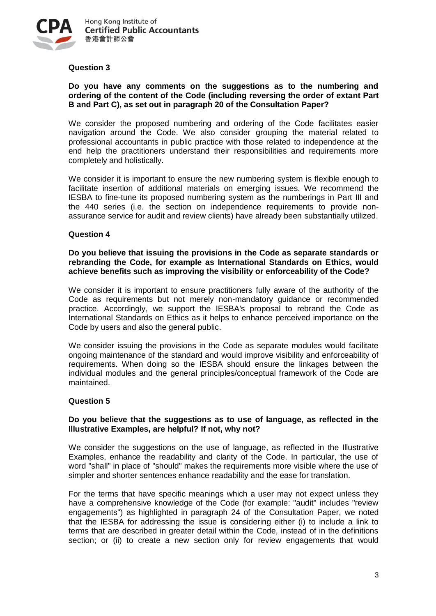

## **Question 3**

## **Do you have any comments on the suggestions as to the numbering and ordering of the content of the Code (including reversing the order of extant Part B and Part C), as set out in paragraph 20 of the Consultation Paper?**

We consider the proposed numbering and ordering of the Code facilitates easier navigation around the Code. We also consider grouping the material related to professional accountants in public practice with those related to independence at the end help the practitioners understand their responsibilities and requirements more completely and holistically.

We consider it is important to ensure the new numbering system is flexible enough to facilitate insertion of additional materials on emerging issues. We recommend the IESBA to fine-tune its proposed numbering system as the numberings in Part III and the 440 series (i.e. the section on independence requirements to provide nonassurance service for audit and review clients) have already been substantially utilized.

#### **Question 4**

**Do you believe that issuing the provisions in the Code as separate standards or rebranding the Code, for example as International Standards on Ethics, would achieve benefits such as improving the visibility or enforceability of the Code?**

We consider it is important to ensure practitioners fully aware of the authority of the Code as requirements but not merely non-mandatory guidance or recommended practice. Accordingly, we support the IESBA's proposal to rebrand the Code as International Standards on Ethics as it helps to enhance perceived importance on the Code by users and also the general public.

We consider issuing the provisions in the Code as separate modules would facilitate ongoing maintenance of the standard and would improve visibility and enforceability of requirements. When doing so the IESBA should ensure the linkages between the individual modules and the general principles/conceptual framework of the Code are maintained.

#### **Question 5**

## **Do you believe that the suggestions as to use of language, as reflected in the Illustrative Examples, are helpful? If not, why not?**

We consider the suggestions on the use of language, as reflected in the Illustrative Examples, enhance the readability and clarity of the Code. In particular, the use of word "shall" in place of "should" makes the requirements more visible where the use of simpler and shorter sentences enhance readability and the ease for translation.

For the terms that have specific meanings which a user may not expect unless they have a comprehensive knowledge of the Code (for example: "audit" includes "review engagements") as highlighted in paragraph 24 of the Consultation Paper, we noted that the IESBA for addressing the issue is considering either (i) to include a link to terms that are described in greater detail within the Code, instead of in the definitions section; or (ii) to create a new section only for review engagements that would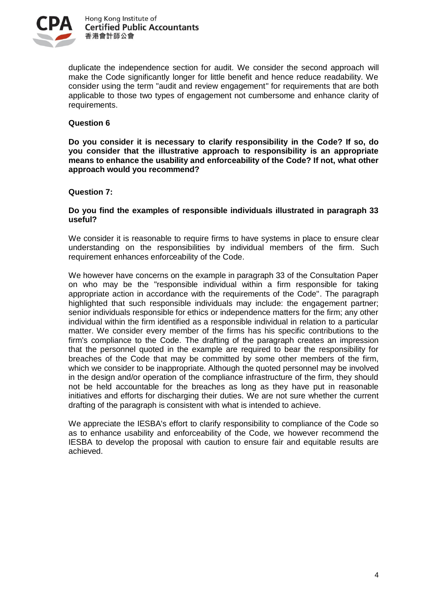

duplicate the independence section for audit. We consider the second approach will make the Code significantly longer for little benefit and hence reduce readability. We consider using the term "audit and review engagement" for requirements that are both applicable to those two types of engagement not cumbersome and enhance clarity of requirements.

## **Question 6**

**Do you consider it is necessary to clarify responsibility in the Code? If so, do you consider that the illustrative approach to responsibility is an appropriate means to enhance the usability and enforceability of the Code? If not, what other approach would you recommend?**

## **Question 7:**

## **Do you find the examples of responsible individuals illustrated in paragraph 33 useful?**

We consider it is reasonable to require firms to have systems in place to ensure clear understanding on the responsibilities by individual members of the firm. Such requirement enhances enforceability of the Code.

We however have concerns on the example in paragraph 33 of the Consultation Paper on who may be the "responsible individual within a firm responsible for taking appropriate action in accordance with the requirements of the Code". The paragraph highlighted that such responsible individuals may include: the engagement partner; senior individuals responsible for ethics or independence matters for the firm; any other individual within the firm identified as a responsible individual in relation to a particular matter. We consider every member of the firms has his specific contributions to the firm's compliance to the Code. The drafting of the paragraph creates an impression that the personnel quoted in the example are required to bear the responsibility for breaches of the Code that may be committed by some other members of the firm, which we consider to be inappropriate. Although the quoted personnel may be involved in the design and/or operation of the compliance infrastructure of the firm, they should not be held accountable for the breaches as long as they have put in reasonable initiatives and efforts for discharging their duties. We are not sure whether the current drafting of the paragraph is consistent with what is intended to achieve.

We appreciate the IESBA's effort to clarify responsibility to compliance of the Code so as to enhance usability and enforceability of the Code, we however recommend the IESBA to develop the proposal with caution to ensure fair and equitable results are achieved.